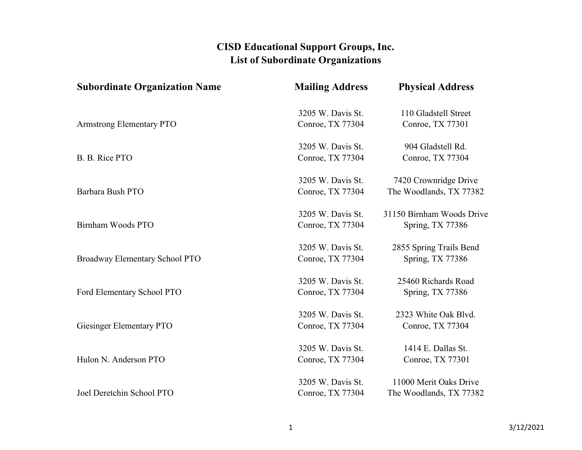| <b>Subordinate Organization Name</b> | <b>Mailing Address</b> | <b>Physical Address</b>   |
|--------------------------------------|------------------------|---------------------------|
|                                      | 3205 W. Davis St.      | 110 Gladstell Street      |
| <b>Armstrong Elementary PTO</b>      | Conroe, TX 77304       | Conroe, TX 77301          |
|                                      | 3205 W. Davis St.      | 904 Gladstell Rd.         |
| B. B. Rice PTO                       | Conroe, TX 77304       | Conroe, TX 77304          |
|                                      | 3205 W. Davis St.      | 7420 Crownridge Drive     |
| Barbara Bush PTO                     | Conroe, TX 77304       | The Woodlands, TX 77382   |
|                                      | 3205 W. Davis St.      | 31150 Birnham Woods Drive |
| Birnham Woods PTO                    | Conroe, TX 77304       | Spring, TX 77386          |
|                                      | 3205 W. Davis St.      | 2855 Spring Trails Bend   |
| Broadway Elementary School PTO       | Conroe, TX 77304       | Spring, TX 77386          |
|                                      | 3205 W. Davis St.      | 25460 Richards Road       |
| Ford Elementary School PTO           | Conroe, TX 77304       | Spring, TX 77386          |
|                                      | 3205 W. Davis St.      | 2323 White Oak Blvd.      |
| Giesinger Elementary PTO             | Conroe, TX 77304       | Conroe, TX 77304          |
|                                      | 3205 W. Davis St.      | 1414 E. Dallas St.        |
| Hulon N. Anderson PTO                | Conroe, TX 77304       | Conroe, TX 77301          |
|                                      | 3205 W. Davis St.      | 11000 Merit Oaks Drive    |
| Joel Deretchin School PTO            | Conroe, TX 77304       | The Woodlands, TX 77382   |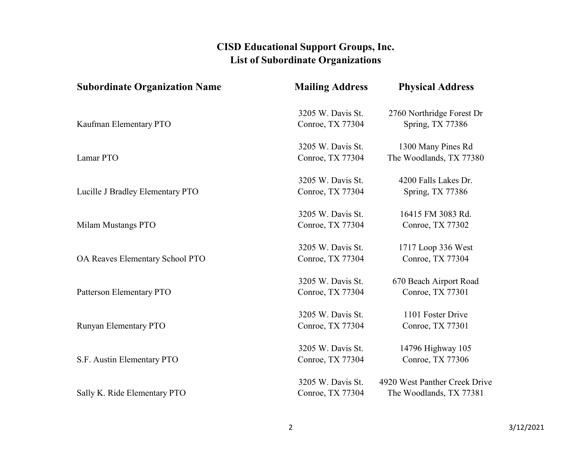| <b>Subordinate Organization Name</b> | <b>Mailing Address</b> | <b>Physical Address</b>       |
|--------------------------------------|------------------------|-------------------------------|
|                                      | 3205 W. Davis St.      | 2760 Northridge Forest Dr     |
| Kaufman Elementary PTO               | Conroe, TX 77304       | Spring, TX 77386              |
|                                      | 3205 W. Davis St.      | 1300 Many Pines Rd            |
| Lamar PTO                            | Conroe, TX 77304       | The Woodlands, TX 77380       |
|                                      | 3205 W. Davis St.      | 4200 Falls Lakes Dr.          |
| Lucille J Bradley Elementary PTO     | Conroe, TX 77304       | Spring, TX 77386              |
|                                      | 3205 W. Davis St.      | 16415 FM 3083 Rd.             |
| Milam Mustangs PTO                   | Conroe, TX 77304       | Conroe, TX 77302              |
|                                      | 3205 W. Davis St.      | 1717 Loop 336 West            |
| OA Reaves Elementary School PTO      | Conroe, TX 77304       | Conroe, TX 77304              |
|                                      | 3205 W. Davis St.      | 670 Beach Airport Road        |
| Patterson Elementary PTO             | Conroe, TX 77304       | Conroe, TX 77301              |
|                                      | 3205 W. Davis St.      | 1101 Foster Drive             |
| Runyan Elementary PTO                | Conroe, TX 77304       | Conroe, TX 77301              |
|                                      | 3205 W. Davis St.      | 14796 Highway 105             |
| S.F. Austin Elementary PTO           | Conroe, TX 77304       | Conroe, TX 77306              |
|                                      | 3205 W. Davis St.      | 4920 West Panther Creek Drive |
| Sally K. Ride Elementary PTO         | Conroe, TX 77304       | The Woodlands, TX 77381       |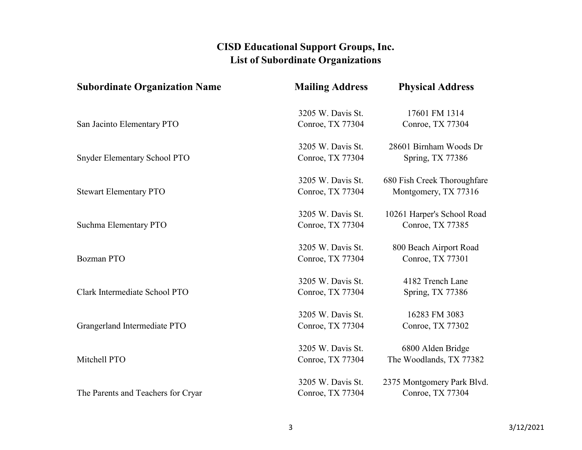| <b>Subordinate Organization Name</b> | <b>Mailing Address</b> | <b>Physical Address</b>     |
|--------------------------------------|------------------------|-----------------------------|
|                                      | 3205 W. Davis St.      | 17601 FM 1314               |
| San Jacinto Elementary PTO           | Conroe, TX 77304       | Conroe, TX 77304            |
|                                      | 3205 W. Davis St.      | 28601 Birnham Woods Dr      |
| <b>Snyder Elementary School PTO</b>  | Conroe, TX 77304       | Spring, TX 77386            |
|                                      | 3205 W. Davis St.      | 680 Fish Creek Thoroughfare |
| <b>Stewart Elementary PTO</b>        | Conroe, TX 77304       | Montgomery, TX 77316        |
|                                      | 3205 W. Davis St.      | 10261 Harper's School Road  |
| Suchma Elementary PTO                | Conroe, TX 77304       | Conroe, TX 77385            |
|                                      | 3205 W. Davis St.      | 800 Beach Airport Road      |
| <b>Bozman PTO</b>                    | Conroe, TX 77304       | Conroe, TX 77301            |
|                                      | 3205 W. Davis St.      | 4182 Trench Lane            |
| Clark Intermediate School PTO        | Conroe, TX 77304       | Spring, TX 77386            |
|                                      | 3205 W. Davis St.      | 16283 FM 3083               |
| Grangerland Intermediate PTO         | Conroe, TX 77304       | Conroe, TX 77302            |
|                                      | 3205 W. Davis St.      | 6800 Alden Bridge           |
| Mitchell PTO                         | Conroe, TX 77304       | The Woodlands, TX 77382     |
|                                      | 3205 W. Davis St.      | 2375 Montgomery Park Blvd.  |
| The Parents and Teachers for Cryar   | Conroe, TX 77304       | Conroe, TX 77304            |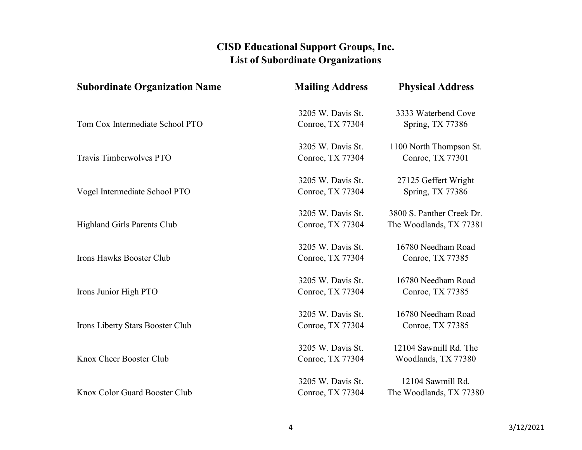| <b>Subordinate Organization Name</b>    | <b>Mailing Address</b> | <b>Physical Address</b>   |
|-----------------------------------------|------------------------|---------------------------|
|                                         | 3205 W. Davis St.      | 3333 Waterbend Cove       |
| Tom Cox Intermediate School PTO         | Conroe, TX 77304       | Spring, TX 77386          |
|                                         | 3205 W. Davis St.      | 1100 North Thompson St.   |
| Travis Timberwolves PTO                 | Conroe, TX 77304       | Conroe, TX 77301          |
|                                         | 3205 W. Davis St.      | 27125 Geffert Wright      |
| Vogel Intermediate School PTO           | Conroe, TX 77304       | Spring, TX 77386          |
|                                         | 3205 W. Davis St.      | 3800 S. Panther Creek Dr. |
| <b>Highland Girls Parents Club</b>      | Conroe, TX 77304       | The Woodlands, TX 77381   |
|                                         | 3205 W. Davis St.      | 16780 Needham Road        |
| Irons Hawks Booster Club                | Conroe, TX 77304       | Conroe, TX 77385          |
|                                         | 3205 W. Davis St.      | 16780 Needham Road        |
| Irons Junior High PTO                   | Conroe, TX 77304       | Conroe, TX 77385          |
|                                         | 3205 W. Davis St.      | 16780 Needham Road        |
| <b>Irons Liberty Stars Booster Club</b> | Conroe, TX 77304       | Conroe, TX 77385          |
|                                         | 3205 W. Davis St.      | 12104 Sawmill Rd. The     |
| Knox Cheer Booster Club                 | Conroe, TX 77304       | Woodlands, TX 77380       |
|                                         | 3205 W. Davis St.      | 12104 Sawmill Rd.         |
| Knox Color Guard Booster Club           | Conroe, TX 77304       | The Woodlands, TX 77380   |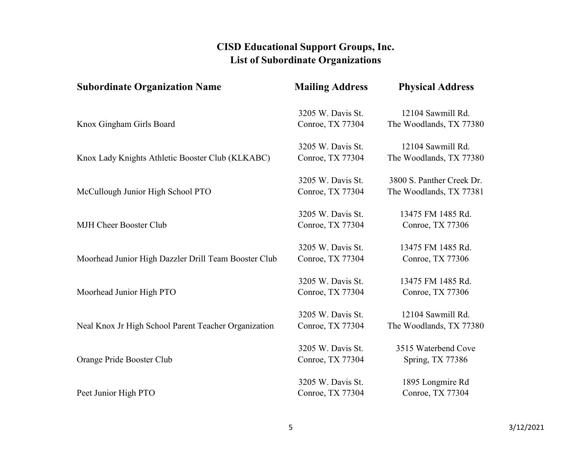| <b>Subordinate Organization Name</b>                 | <b>Mailing Address</b> | <b>Physical Address</b>   |
|------------------------------------------------------|------------------------|---------------------------|
|                                                      | 3205 W. Davis St.      | 12104 Sawmill Rd.         |
| Knox Gingham Girls Board                             | Conroe, TX 77304       | The Woodlands, TX 77380   |
|                                                      | 3205 W. Davis St.      | 12104 Sawmill Rd.         |
| Knox Lady Knights Athletic Booster Club (KLKABC)     | Conroe, TX 77304       | The Woodlands, TX 77380   |
|                                                      | 3205 W. Davis St.      | 3800 S. Panther Creek Dr. |
| McCullough Junior High School PTO                    | Conroe, TX 77304       | The Woodlands, TX 77381   |
|                                                      | 3205 W. Davis St.      | 13475 FM 1485 Rd.         |
| <b>MJH Cheer Booster Club</b>                        | Conroe, TX 77304       | Conroe, TX 77306          |
|                                                      | 3205 W. Davis St.      | 13475 FM 1485 Rd.         |
| Moorhead Junior High Dazzler Drill Team Booster Club | Conroe, TX 77304       | Conroe, TX 77306          |
|                                                      | 3205 W. Davis St.      | 13475 FM 1485 Rd.         |
| Moorhead Junior High PTO                             | Conroe, TX 77304       | Conroe, TX 77306          |
|                                                      | 3205 W. Davis St.      | 12104 Sawmill Rd.         |
| Neal Knox Jr High School Parent Teacher Organization | Conroe, TX 77304       | The Woodlands, TX 77380   |
|                                                      | 3205 W. Davis St.      | 3515 Waterbend Cove       |
| Orange Pride Booster Club                            | Conroe, TX 77304       | Spring, TX 77386          |
|                                                      | 3205 W. Davis St.      | 1895 Longmire Rd          |
| Peet Junior High PTO                                 | Conroe, TX 77304       | Conroe, TX 77304          |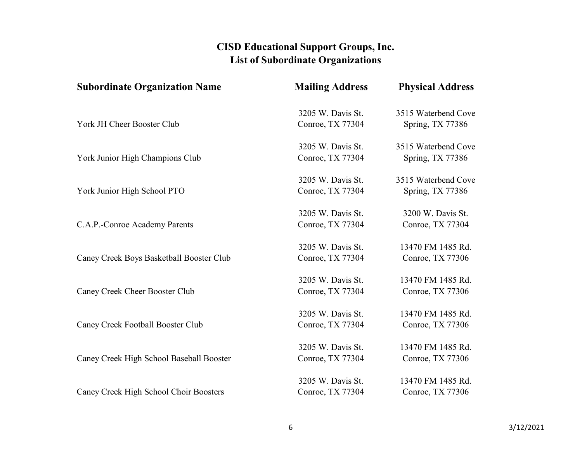| <b>Subordinate Organization Name</b>     | <b>Mailing Address</b>                | <b>Physical Address</b>               |
|------------------------------------------|---------------------------------------|---------------------------------------|
|                                          | 3205 W. Davis St.                     | 3515 Waterbend Cove                   |
| York JH Cheer Booster Club               | Conroe, TX 77304                      | Spring, TX 77386                      |
|                                          | 3205 W. Davis St.                     | 3515 Waterbend Cove                   |
| York Junior High Champions Club          | Conroe, TX 77304                      | Spring, TX 77386                      |
|                                          | 3205 W. Davis St.                     | 3515 Waterbend Cove                   |
| York Junior High School PTO              | Conroe, TX 77304                      | Spring, TX 77386                      |
|                                          | 3205 W. Davis St.                     | 3200 W. Davis St.                     |
| C.A.P.-Conroe Academy Parents            | Conroe, TX 77304                      | Conroe, TX 77304                      |
|                                          | 3205 W. Davis St.                     | 13470 FM 1485 Rd.                     |
| Caney Creek Boys Basketball Booster Club | Conroe, TX 77304                      | Conroe, TX 77306                      |
|                                          | 3205 W. Davis St.                     | 13470 FM 1485 Rd.                     |
| <b>Caney Creek Cheer Booster Club</b>    | Conroe, TX 77304                      | Conroe, TX 77306                      |
|                                          | 3205 W. Davis St.                     | 13470 FM 1485 Rd.                     |
| <b>Caney Creek Football Booster Club</b> | Conroe, TX 77304                      | Conroe, TX 77306                      |
|                                          | 3205 W. Davis St.                     | 13470 FM 1485 Rd.                     |
| Caney Creek High School Baseball Booster | Conroe, TX 77304                      | Conroe, TX 77306                      |
|                                          |                                       |                                       |
| Caney Creek High School Choir Boosters   | 3205 W. Davis St.<br>Conroe, TX 77304 | 13470 FM 1485 Rd.<br>Conroe, TX 77306 |
|                                          |                                       |                                       |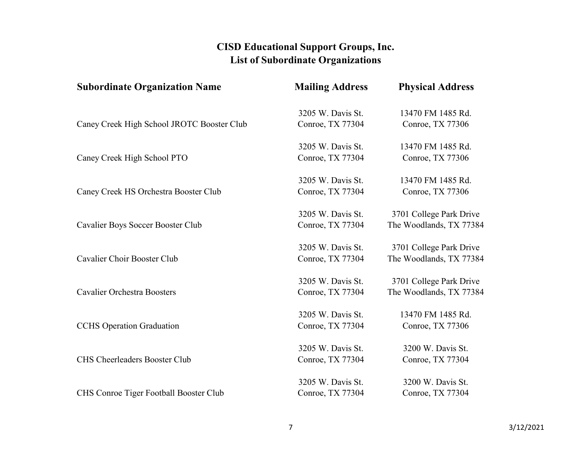| <b>Subordinate Organization Name</b>       | <b>Mailing Address</b> | <b>Physical Address</b> |
|--------------------------------------------|------------------------|-------------------------|
|                                            | 3205 W. Davis St.      | 13470 FM 1485 Rd.       |
| Caney Creek High School JROTC Booster Club | Conroe, TX 77304       | Conroe, TX 77306        |
|                                            | 3205 W. Davis St.      | 13470 FM 1485 Rd.       |
| Caney Creek High School PTO                | Conroe, TX 77304       | Conroe, TX 77306        |
|                                            | 3205 W. Davis St.      | 13470 FM 1485 Rd.       |
| Caney Creek HS Orchestra Booster Club      | Conroe, TX 77304       | Conroe, TX 77306        |
|                                            | 3205 W. Davis St.      | 3701 College Park Drive |
| Cavalier Boys Soccer Booster Club          | Conroe, TX 77304       | The Woodlands, TX 77384 |
|                                            | 3205 W. Davis St.      | 3701 College Park Drive |
| Cavalier Choir Booster Club                | Conroe, TX 77304       | The Woodlands, TX 77384 |
|                                            | 3205 W. Davis St.      | 3701 College Park Drive |
| <b>Cavalier Orchestra Boosters</b>         | Conroe, TX 77304       | The Woodlands, TX 77384 |
|                                            | 3205 W. Davis St.      | 13470 FM 1485 Rd.       |
| <b>CCHS</b> Operation Graduation           | Conroe, TX 77304       | Conroe, TX 77306        |
|                                            | 3205 W. Davis St.      | 3200 W. Davis St.       |
| CHS Cheerleaders Booster Club              | Conroe, TX 77304       | Conroe, TX 77304        |
|                                            | 3205 W. Davis St.      | 3200 W. Davis St.       |
| CHS Conroe Tiger Football Booster Club     | Conroe, TX 77304       | Conroe, TX 77304        |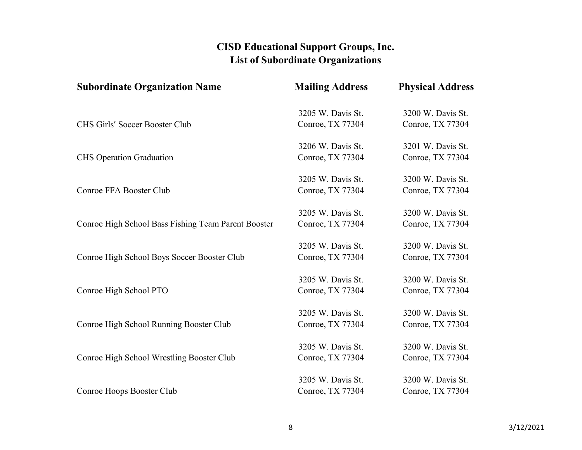| <b>Subordinate Organization Name</b>                | <b>Mailing Address</b> | <b>Physical Address</b> |
|-----------------------------------------------------|------------------------|-------------------------|
|                                                     | 3205 W. Davis St.      | 3200 W. Davis St.       |
| CHS Girls' Soccer Booster Club                      | Conroe, TX 77304       | Conroe, TX 77304        |
|                                                     | 3206 W. Davis St.      | 3201 W. Davis St.       |
| <b>CHS</b> Operation Graduation                     | Conroe, TX 77304       | Conroe, TX 77304        |
|                                                     | 3205 W. Davis St.      | 3200 W. Davis St.       |
| <b>Conroe FFA Booster Club</b>                      | Conroe, TX 77304       | Conroe, TX 77304        |
|                                                     | 3205 W. Davis St.      | 3200 W. Davis St.       |
| Conroe High School Bass Fishing Team Parent Booster | Conroe, TX 77304       | Conroe, TX 77304        |
|                                                     | 3205 W. Davis St.      | 3200 W. Davis St.       |
| Conroe High School Boys Soccer Booster Club         | Conroe, TX 77304       | Conroe, TX 77304        |
|                                                     | 3205 W. Davis St.      | 3200 W. Davis St.       |
| Conroe High School PTO                              | Conroe, TX 77304       | Conroe, TX 77304        |
|                                                     | 3205 W. Davis St.      | 3200 W. Davis St.       |
| Conroe High School Running Booster Club             | Conroe, TX 77304       | Conroe, TX 77304        |
|                                                     | 3205 W. Davis St.      | 3200 W. Davis St.       |
| Conroe High School Wrestling Booster Club           | Conroe, TX 77304       | Conroe, TX 77304        |
|                                                     | 3205 W. Davis St.      | 3200 W. Davis St.       |
| Conroe Hoops Booster Club                           | Conroe, TX 77304       | Conroe, TX 77304        |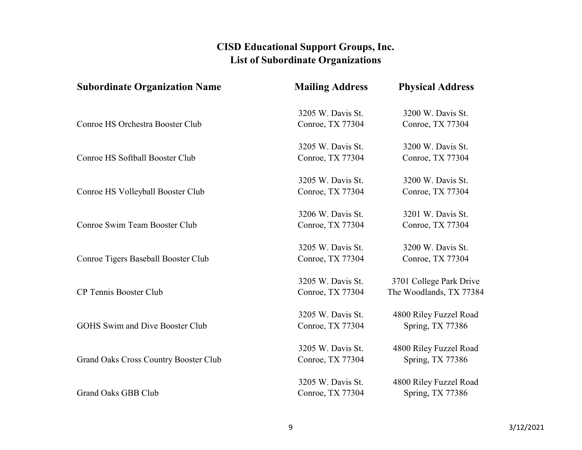| <b>Subordinate Organization Name</b>         | <b>Mailing Address</b> | <b>Physical Address</b> |
|----------------------------------------------|------------------------|-------------------------|
|                                              | 3205 W. Davis St.      | 3200 W. Davis St.       |
| Conroe HS Orchestra Booster Club             | Conroe, TX 77304       | Conroe, TX 77304        |
|                                              | 3205 W. Davis St.      | 3200 W. Davis St.       |
| Conroe HS Softball Booster Club              | Conroe, TX 77304       | Conroe, TX 77304        |
|                                              | 3205 W. Davis St.      | 3200 W. Davis St.       |
| Conroe HS Volleyball Booster Club            | Conroe, TX 77304       | Conroe, TX 77304        |
|                                              | 3206 W. Davis St.      | 3201 W. Davis St.       |
| Conroe Swim Team Booster Club                | Conroe, TX 77304       | Conroe, TX 77304        |
|                                              | 3205 W. Davis St.      | 3200 W. Davis St.       |
| <b>Conroe Tigers Baseball Booster Club</b>   | Conroe, TX 77304       | Conroe, TX 77304        |
|                                              | 3205 W. Davis St.      | 3701 College Park Drive |
| <b>CP Tennis Booster Club</b>                | Conroe, TX 77304       | The Woodlands, TX 77384 |
|                                              | 3205 W. Davis St.      | 4800 Riley Fuzzel Road  |
| <b>GOHS Swim and Dive Booster Club</b>       | Conroe, TX 77304       | Spring, TX 77386        |
|                                              | 3205 W. Davis St.      | 4800 Riley Fuzzel Road  |
| <b>Grand Oaks Cross Country Booster Club</b> | Conroe, TX 77304       | Spring, TX 77386        |
|                                              | 3205 W. Davis St.      | 4800 Riley Fuzzel Road  |
| <b>Grand Oaks GBB Club</b>                   | Conroe, TX 77304       | Spring, TX 77386        |
|                                              |                        |                         |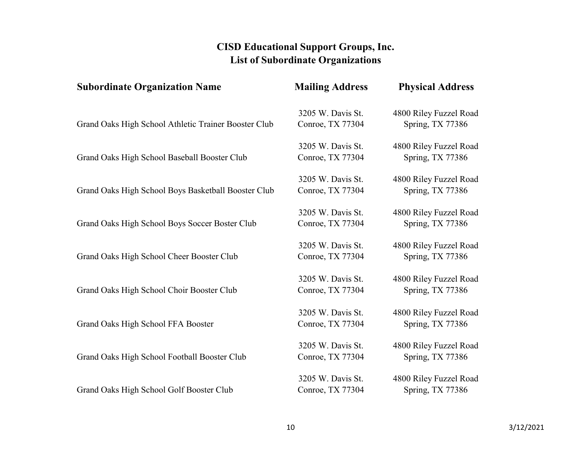| <b>Subordinate Organization Name</b>                 | <b>Mailing Address</b>                | <b>Physical Address</b>                    |
|------------------------------------------------------|---------------------------------------|--------------------------------------------|
| Grand Oaks High School Athletic Trainer Booster Club | 3205 W. Davis St.<br>Conroe, TX 77304 | 4800 Riley Fuzzel Road<br>Spring, TX 77386 |
|                                                      |                                       |                                            |
| Grand Oaks High School Baseball Booster Club         | 3205 W. Davis St.<br>Conroe, TX 77304 | 4800 Riley Fuzzel Road<br>Spring, TX 77386 |
|                                                      | 3205 W. Davis St.                     | 4800 Riley Fuzzel Road                     |
| Grand Oaks High School Boys Basketball Booster Club  | Conroe, TX 77304                      | Spring, TX 77386                           |
|                                                      | 3205 W. Davis St.                     | 4800 Riley Fuzzel Road                     |
| Grand Oaks High School Boys Soccer Boster Club       | Conroe, TX 77304                      | Spring, TX 77386                           |
|                                                      | 3205 W. Davis St.                     | 4800 Riley Fuzzel Road                     |
| Grand Oaks High School Cheer Booster Club            | Conroe, TX 77304                      | Spring, TX 77386                           |
| Grand Oaks High School Choir Booster Club            | 3205 W. Davis St.<br>Conroe, TX 77304 | 4800 Riley Fuzzel Road<br>Spring, TX 77386 |
|                                                      | 3205 W. Davis St.                     | 4800 Riley Fuzzel Road                     |
| Grand Oaks High School FFA Booster                   | Conroe, TX 77304                      | Spring, TX 77386                           |
| Grand Oaks High School Football Booster Club         | 3205 W. Davis St.<br>Conroe, TX 77304 | 4800 Riley Fuzzel Road<br>Spring, TX 77386 |
| Grand Oaks High School Golf Booster Club             | 3205 W. Davis St.<br>Conroe, TX 77304 | 4800 Riley Fuzzel Road<br>Spring, TX 77386 |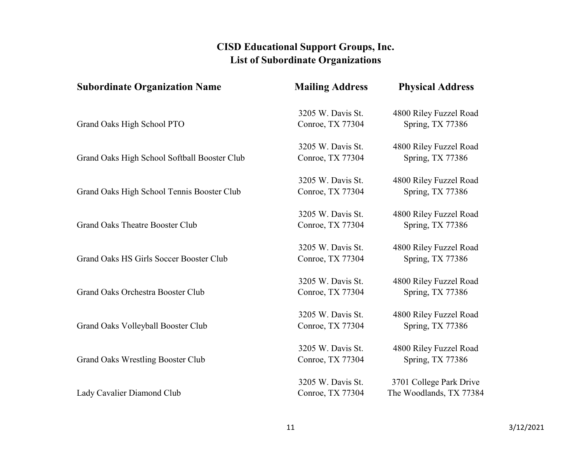| <b>Subordinate Organization Name</b>         | <b>Mailing Address</b> | <b>Physical Address</b> |
|----------------------------------------------|------------------------|-------------------------|
|                                              | 3205 W. Davis St.      | 4800 Riley Fuzzel Road  |
| Grand Oaks High School PTO                   | Conroe, TX 77304       | Spring, TX 77386        |
|                                              | 3205 W. Davis St.      | 4800 Riley Fuzzel Road  |
| Grand Oaks High School Softball Booster Club | Conroe, TX 77304       | Spring, TX 77386        |
|                                              | 3205 W. Davis St.      | 4800 Riley Fuzzel Road  |
| Grand Oaks High School Tennis Booster Club   | Conroe, TX 77304       | Spring, TX 77386        |
|                                              | 3205 W. Davis St.      | 4800 Riley Fuzzel Road  |
| <b>Grand Oaks Theatre Booster Club</b>       | Conroe, TX 77304       | Spring, TX 77386        |
|                                              | 3205 W. Davis St.      | 4800 Riley Fuzzel Road  |
| Grand Oaks HS Girls Soccer Booster Club      | Conroe, TX 77304       | Spring, TX 77386        |
|                                              | 3205 W. Davis St.      | 4800 Riley Fuzzel Road  |
| Grand Oaks Orchestra Booster Club            | Conroe, TX 77304       | Spring, TX 77386        |
|                                              | 3205 W. Davis St.      | 4800 Riley Fuzzel Road  |
| Grand Oaks Volleyball Booster Club           | Conroe, TX 77304       | Spring, TX 77386        |
|                                              | 3205 W. Davis St.      | 4800 Riley Fuzzel Road  |
| <b>Grand Oaks Wrestling Booster Club</b>     | Conroe, TX 77304       | Spring, TX 77386        |
|                                              | 3205 W. Davis St.      | 3701 College Park Drive |
| Lady Cavalier Diamond Club                   | Conroe, TX 77304       | The Woodlands, TX 77384 |
|                                              |                        |                         |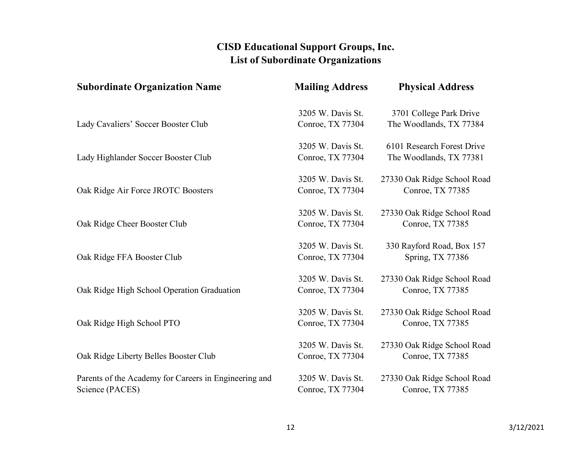| <b>Subordinate Organization Name</b>                  | <b>Mailing Address</b> | <b>Physical Address</b>     |
|-------------------------------------------------------|------------------------|-----------------------------|
|                                                       | 3205 W. Davis St.      | 3701 College Park Drive     |
| Lady Cavaliers' Soccer Booster Club                   | Conroe, TX 77304       | The Woodlands, TX 77384     |
|                                                       | 3205 W. Davis St.      | 6101 Research Forest Drive  |
| Lady Highlander Soccer Booster Club                   | Conroe, TX 77304       | The Woodlands, TX 77381     |
|                                                       | 3205 W. Davis St.      | 27330 Oak Ridge School Road |
| Oak Ridge Air Force JROTC Boosters                    | Conroe, TX 77304       | Conroe, TX 77385            |
|                                                       | 3205 W. Davis St.      | 27330 Oak Ridge School Road |
| Oak Ridge Cheer Booster Club                          | Conroe, TX 77304       | Conroe, TX 77385            |
|                                                       | 3205 W. Davis St.      | 330 Rayford Road, Box 157   |
| Oak Ridge FFA Booster Club                            | Conroe, TX 77304       | Spring, TX 77386            |
|                                                       | 3205 W. Davis St.      | 27330 Oak Ridge School Road |
| Oak Ridge High School Operation Graduation            | Conroe, TX 77304       | Conroe, TX 77385            |
|                                                       | 3205 W. Davis St.      | 27330 Oak Ridge School Road |
| Oak Ridge High School PTO                             | Conroe, TX 77304       | Conroe, TX 77385            |
|                                                       | 3205 W. Davis St.      | 27330 Oak Ridge School Road |
| Oak Ridge Liberty Belles Booster Club                 | Conroe, TX 77304       | Conroe, TX 77385            |
| Parents of the Academy for Careers in Engineering and | 3205 W. Davis St.      | 27330 Oak Ridge School Road |
| Science (PACES)                                       | Conroe, TX 77304       | Conroe, TX 77385            |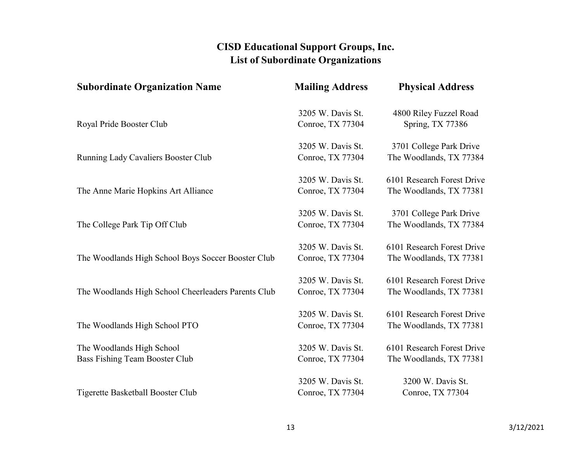| <b>Subordinate Organization Name</b>                | <b>Mailing Address</b> | <b>Physical Address</b>    |
|-----------------------------------------------------|------------------------|----------------------------|
|                                                     | 3205 W. Davis St.      | 4800 Riley Fuzzel Road     |
| Royal Pride Booster Club                            | Conroe, TX 77304       | Spring, TX 77386           |
|                                                     | 3205 W. Davis St.      | 3701 College Park Drive    |
| Running Lady Cavaliers Booster Club                 | Conroe, TX 77304       | The Woodlands, TX 77384    |
|                                                     | 3205 W. Davis St.      | 6101 Research Forest Drive |
| The Anne Marie Hopkins Art Alliance                 | Conroe, TX 77304       | The Woodlands, TX 77381    |
|                                                     | 3205 W. Davis St.      | 3701 College Park Drive    |
| The College Park Tip Off Club                       | Conroe, TX 77304       | The Woodlands, TX 77384    |
|                                                     | 3205 W. Davis St.      | 6101 Research Forest Drive |
| The Woodlands High School Boys Soccer Booster Club  | Conroe, TX 77304       | The Woodlands, TX 77381    |
|                                                     | 3205 W. Davis St.      | 6101 Research Forest Drive |
| The Woodlands High School Cheerleaders Parents Club | Conroe, TX 77304       | The Woodlands, TX 77381    |
|                                                     | 3205 W. Davis St.      | 6101 Research Forest Drive |
| The Woodlands High School PTO                       | Conroe, TX 77304       | The Woodlands, TX 77381    |
| The Woodlands High School                           | 3205 W. Davis St.      | 6101 Research Forest Drive |
| Bass Fishing Team Booster Club                      | Conroe, TX 77304       | The Woodlands, TX 77381    |
|                                                     | 3205 W. Davis St.      | 3200 W. Davis St.          |
| Tigerette Basketball Booster Club                   | Conroe, TX 77304       | Conroe, TX 77304           |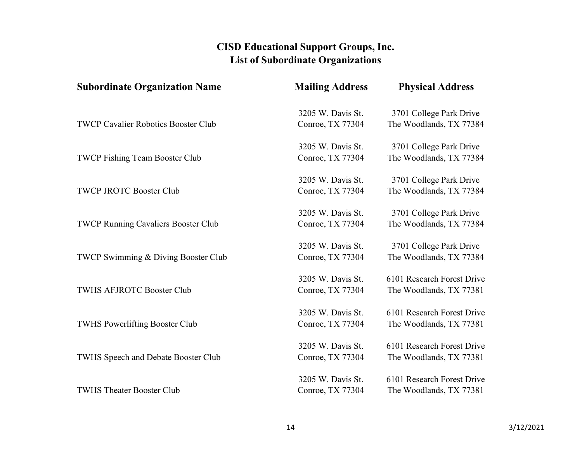| <b>Subordinate Organization Name</b>       | <b>Mailing Address</b> | <b>Physical Address</b>    |
|--------------------------------------------|------------------------|----------------------------|
|                                            | 3205 W. Davis St.      | 3701 College Park Drive    |
| <b>TWCP Cavalier Robotics Booster Club</b> | Conroe, TX 77304       | The Woodlands, TX 77384    |
|                                            | 3205 W. Davis St.      | 3701 College Park Drive    |
| <b>TWCP Fishing Team Booster Club</b>      | Conroe, TX 77304       | The Woodlands, TX 77384    |
|                                            | 3205 W. Davis St.      | 3701 College Park Drive    |
| <b>TWCP JROTC Booster Club</b>             | Conroe, TX 77304       | The Woodlands, TX 77384    |
|                                            | 3205 W. Davis St.      | 3701 College Park Drive    |
| <b>TWCP Running Cavaliers Booster Club</b> | Conroe, TX 77304       | The Woodlands, TX 77384    |
|                                            | 3205 W. Davis St.      | 3701 College Park Drive    |
| TWCP Swimming & Diving Booster Club        | Conroe, TX 77304       | The Woodlands, TX 77384    |
|                                            | 3205 W. Davis St.      | 6101 Research Forest Drive |
| <b>TWHS AFJROTC Booster Club</b>           | Conroe, TX 77304       | The Woodlands, TX 77381    |
|                                            | 3205 W. Davis St.      | 6101 Research Forest Drive |
| <b>TWHS Powerlifting Booster Club</b>      | Conroe, TX 77304       | The Woodlands, TX 77381    |
|                                            | 3205 W. Davis St.      | 6101 Research Forest Drive |
| TWHS Speech and Debate Booster Club        | Conroe, TX 77304       | The Woodlands, TX 77381    |
|                                            | 3205 W. Davis St.      | 6101 Research Forest Drive |
| <b>TWHS Theater Booster Club</b>           | Conroe, TX 77304       | The Woodlands, TX 77381    |